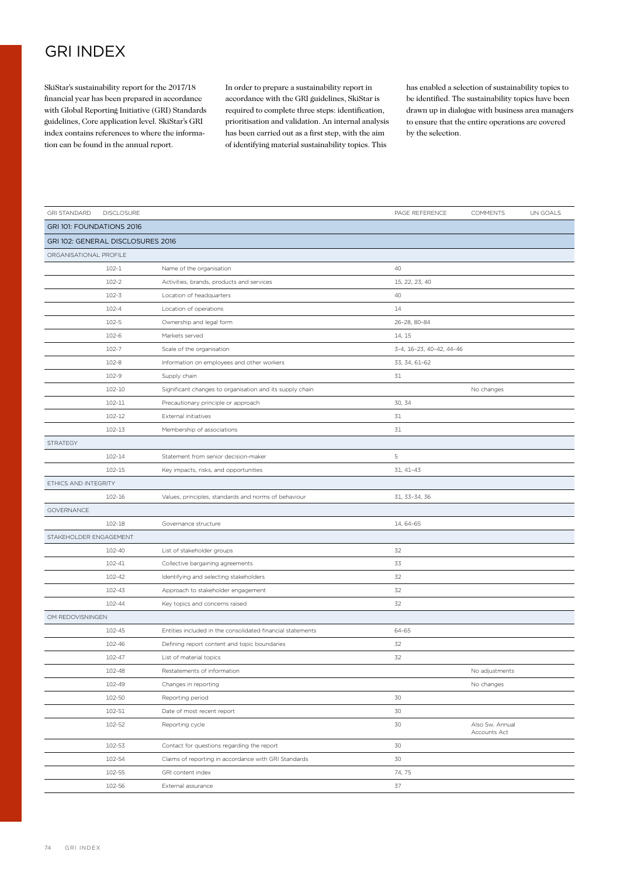## GRI INDEX

SkiStar's sustainability report for the 2017/18 financial year has been prepared in accordance with Global Reporting Initiative (GRI) Standards guidelines, Core application level. SkiStar's GRI index contains references to where the information can be found in the annual report.

In order to prepare a sustainability report in accordance with the GRI guidelines, SkiStar is required to complete three steps: identification, prioritisation and validation. An internal analysis has been carried out as a first step, with the aim of identifying material sustainability topics. This

has enabled a selection of sustainability topics to be identified. The sustainability topics have been drawn up in dialogue with business area managers to ensure that the entire operations are covered by the selection.

| <b>GRI STANDARD</b>       | <b>DISCLOSURE</b>                 |                                                            | PAGE REFERENCE           | <b>COMMENTS</b>                 | UN GOALS |
|---------------------------|-----------------------------------|------------------------------------------------------------|--------------------------|---------------------------------|----------|
| GRI 101: FOUNDATIONS 2016 |                                   |                                                            |                          |                                 |          |
|                           | GRI 102: GENERAL DISCLOSURES 2016 |                                                            |                          |                                 |          |
| ORGANISATIONAL PROFILE    |                                   |                                                            |                          |                                 |          |
|                           | $102 - 1$                         | Name of the organisation                                   | 40                       |                                 |          |
|                           | $102 - 2$                         | Activities, brands, products and services                  | 15, 22, 23, 40           |                                 |          |
|                           | $102 - 3$                         | Location of headquarters                                   | 40                       |                                 |          |
|                           | $102 - 4$                         | Location of operations                                     | 14                       |                                 |          |
|                           | 102-5                             | Ownership and legal form                                   | 26-28, 80-84             |                                 |          |
|                           | 102-6                             | Markets served                                             | 14, 15                   |                                 |          |
|                           | $102 - 7$                         | Scale of the organisation                                  | 3-4, 16-23, 40-42, 44-46 |                                 |          |
|                           | $102 - 8$                         | Information on employees and other workers                 | 33, 34, 61-62            |                                 |          |
|                           | 102-9                             | Supply chain                                               | 31                       |                                 |          |
|                           | 102-10                            | Significant changes to organisation and its supply chain   |                          | No changes                      |          |
|                           | 102-11                            | Precautionary principle or approach                        | 30, 34                   |                                 |          |
|                           | 102-12                            | External initiatives                                       | 31                       |                                 |          |
|                           | 102-13                            | Membership of associations                                 | 31                       |                                 |          |
| STRATEGY                  |                                   |                                                            |                          |                                 |          |
|                           | 102-14                            | Statement from senior decision-maker                       | 5                        |                                 |          |
|                           | 102-15                            | Key impacts, risks, and opportunities                      | 31, 41-43                |                                 |          |
| ETHICS AND INTEGRITY      |                                   |                                                            |                          |                                 |          |
|                           | 102-16                            | Values, principles, standards and norms of behaviour       | 31, 33-34, 36            |                                 |          |
| GOVERNANCE                |                                   |                                                            |                          |                                 |          |
|                           | 102-18                            | Governance structure                                       | 14, 64-65                |                                 |          |
| STAKEHOLDER ENGAGEMENT    |                                   |                                                            |                          |                                 |          |
|                           | 102-40                            | List of stakeholder groups                                 | 32                       |                                 |          |
|                           | 102-41                            | Collective bargaining agreements                           | 33                       |                                 |          |
|                           | 102-42                            | Identifying and selecting stakeholders                     | 32                       |                                 |          |
|                           | 102-43                            | Approach to stakeholder engagement                         | 32                       |                                 |          |
|                           | 102-44                            | Key topics and concerns raised                             | 32                       |                                 |          |
| OM REDOVISNINGEN          |                                   |                                                            |                          |                                 |          |
|                           | 102-45                            | Entities included in the consolidated financial statements | 64-65                    |                                 |          |
|                           | 102-46                            | Defining report content and topic boundaries               | 32                       |                                 |          |
|                           | 102-47                            | List of material topics                                    | 32                       |                                 |          |
|                           | 102-48                            | Restatements of information                                |                          | No adjustments                  |          |
|                           | 102-49                            | Changes in reporting                                       |                          | No changes                      |          |
|                           | 102-50                            | Reporting period                                           | 30                       |                                 |          |
|                           | 102-51                            | Date of most recent report                                 | 30                       |                                 |          |
|                           | 102-52                            | Reporting cycle                                            | 30                       | Also Sw. Annual<br>Accounts Act |          |
|                           | 102-53                            | Contact for questions regarding the report                 | 30                       |                                 |          |
|                           | 102-54                            | Claims of reporting in accordance with GRI Standards       | 30                       |                                 |          |
|                           | 102-55                            | GRI content index                                          | 74, 75                   |                                 |          |
|                           | 102-56                            | External assurance                                         | 37                       |                                 |          |